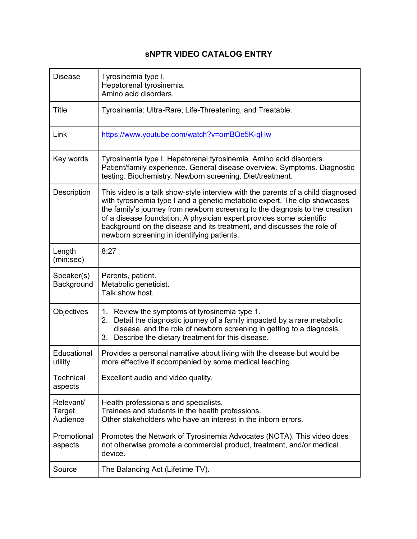## **sNPTR VIDEO CATALOG ENTRY**

| <b>Disease</b>                  | Tyrosinemia type I.<br>Hepatorenal tyrosinemia.<br>Amino acid disorders.                                                                                                                                                                                                                                                                                                                                                                      |
|---------------------------------|-----------------------------------------------------------------------------------------------------------------------------------------------------------------------------------------------------------------------------------------------------------------------------------------------------------------------------------------------------------------------------------------------------------------------------------------------|
| <b>Title</b>                    | Tyrosinemia: Ultra-Rare, Life-Threatening, and Treatable.                                                                                                                                                                                                                                                                                                                                                                                     |
| Link                            | https://www.youtube.com/watch?v=omBQe5K-qHw                                                                                                                                                                                                                                                                                                                                                                                                   |
| Key words                       | Tyrosinemia type I. Hepatorenal tyrosinemia. Amino acid disorders.<br>Patient/family experience. General disease overview. Symptoms. Diagnostic<br>testing. Biochemistry. Newborn screening. Diet/treatment.                                                                                                                                                                                                                                  |
| Description                     | This video is a talk show-style interview with the parents of a child diagnosed<br>with tyrosinemia type I and a genetic metabolic expert. The clip showcases<br>the family's journey from newborn screening to the diagnosis to the creation<br>of a disease foundation. A physician expert provides some scientific<br>background on the disease and its treatment, and discusses the role of<br>newborn screening in identifying patients. |
| Length<br>(min:sec)             | 8:27                                                                                                                                                                                                                                                                                                                                                                                                                                          |
| Speaker(s)<br>Background        | Parents, patient.<br>Metabolic geneticist.<br>Talk show host.                                                                                                                                                                                                                                                                                                                                                                                 |
| Objectives                      | 1. Review the symptoms of tyrosinemia type 1.<br>2. Detail the diagnostic journey of a family impacted by a rare metabolic<br>disease, and the role of newborn screening in getting to a diagnosis.<br>3. Describe the dietary treatment for this disease.                                                                                                                                                                                    |
| Educational<br>utility          | Provides a personal narrative about living with the disease but would be<br>more effective if accompanied by some medical teaching.                                                                                                                                                                                                                                                                                                           |
| Technical<br>aspects            | Excellent audio and video quality.                                                                                                                                                                                                                                                                                                                                                                                                            |
| Relevant/<br>Target<br>Audience | Health professionals and specialists.<br>Trainees and students in the health professions.<br>Other stakeholders who have an interest in the inborn errors.                                                                                                                                                                                                                                                                                    |
| Promotional<br>aspects          | Promotes the Network of Tyrosinemia Advocates (NOTA). This video does<br>not otherwise promote a commercial product, treatment, and/or medical<br>device.                                                                                                                                                                                                                                                                                     |
| Source                          | The Balancing Act (Lifetime TV).                                                                                                                                                                                                                                                                                                                                                                                                              |